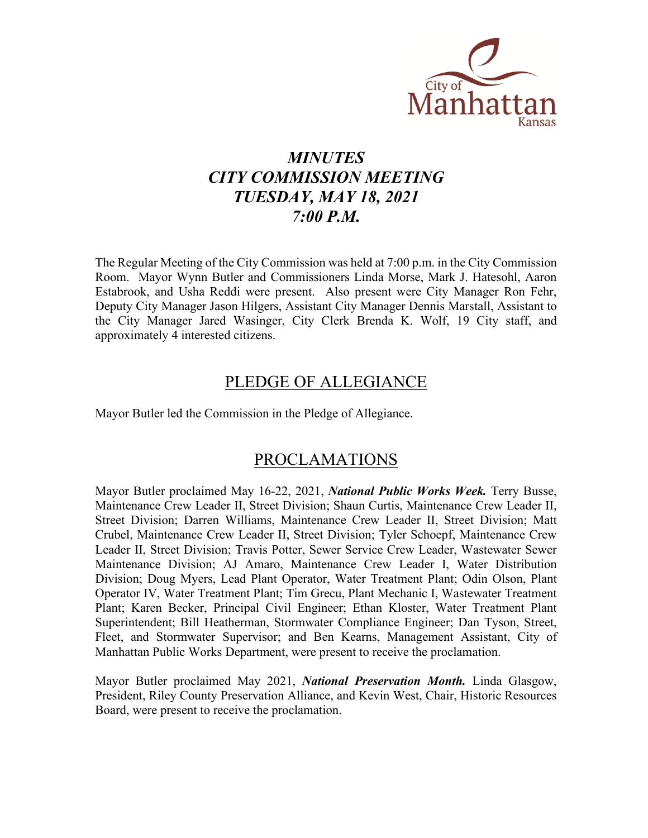

# *MINUTES CITY COMMISSION MEETING TUESDAY, MAY 18, 2021 7:00 P.M.*

The Regular Meeting of the City Commission was held at 7:00 p.m. in the City Commission Room. Mayor Wynn Butler and Commissioners Linda Morse, Mark J. Hatesohl, Aaron Estabrook, and Usha Reddi were present. Also present were City Manager Ron Fehr, Deputy City Manager Jason Hilgers, Assistant City Manager Dennis Marstall, Assistant to the City Manager Jared Wasinger, City Clerk Brenda K. Wolf, 19 City staff, and approximately 4 interested citizens.

## PLEDGE OF ALLEGIANCE

Mayor Butler led the Commission in the Pledge of Allegiance.

# PROCLAMATIONS

Mayor Butler proclaimed May 16-22, 2021, *National Public Works Week.* Terry Busse, Maintenance Crew Leader II, Street Division; Shaun Curtis, Maintenance Crew Leader II, Street Division; Darren Williams, Maintenance Crew Leader II, Street Division; Matt Crubel, Maintenance Crew Leader II, Street Division; Tyler Schoepf, Maintenance Crew Leader II, Street Division; Travis Potter, Sewer Service Crew Leader, Wastewater Sewer Maintenance Division; AJ Amaro, Maintenance Crew Leader I, Water Distribution Division; Doug Myers, Lead Plant Operator, Water Treatment Plant; Odin Olson, Plant Operator IV, Water Treatment Plant; Tim Grecu, Plant Mechanic I, Wastewater Treatment Plant; Karen Becker, Principal Civil Engineer; Ethan Kloster, Water Treatment Plant Superintendent; Bill Heatherman, Stormwater Compliance Engineer; Dan Tyson, Street, Fleet, and Stormwater Supervisor; and Ben Kearns, Management Assistant, City of Manhattan Public Works Department, were present to receive the proclamation.

Mayor Butler proclaimed May 2021, *National Preservation Month.* Linda Glasgow, President, Riley County Preservation Alliance, and Kevin West, Chair, Historic Resources Board, were present to receive the proclamation.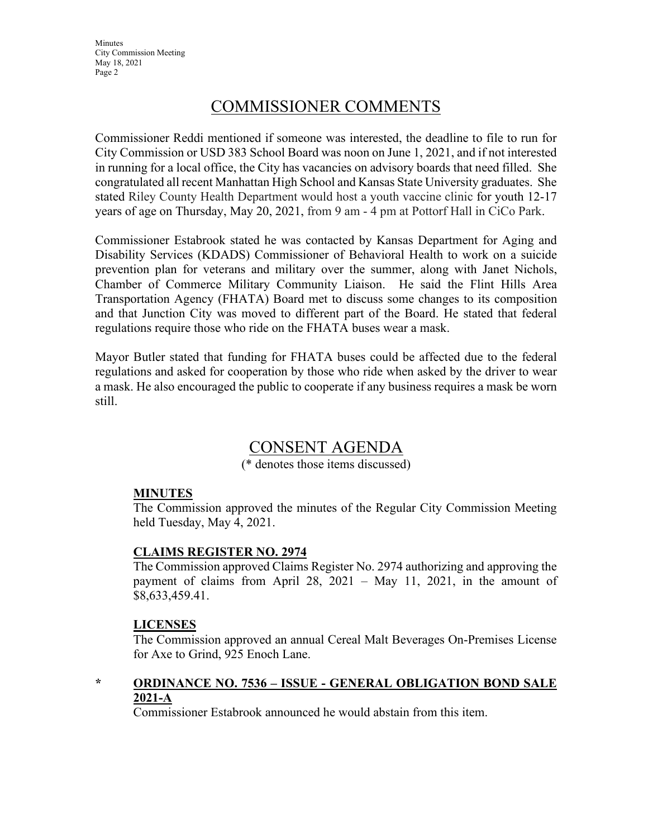# COMMISSIONER COMMENTS

Commissioner Reddi mentioned if someone was interested, the deadline to file to run for City Commission or USD 383 School Board was noon on June 1, 2021, and if not interested in running for a local office, the City has vacancies on advisory boards that need filled. She congratulated all recent Manhattan High School and Kansas State University graduates. She stated Riley County Health Department would host a youth vaccine clinic for youth 12-17 years of age on Thursday, May 20, 2021, from 9 am - 4 pm at Pottorf Hall in CiCo Park.

Commissioner Estabrook stated he was contacted by Kansas Department for Aging and Disability Services (KDADS) Commissioner of Behavioral Health to work on a suicide prevention plan for veterans and military over the summer, along with Janet Nichols, Chamber of Commerce Military Community Liaison. He said the Flint Hills Area Transportation Agency (FHATA) Board met to discuss some changes to its composition and that Junction City was moved to different part of the Board. He stated that federal regulations require those who ride on the FHATA buses wear a mask.

Mayor Butler stated that funding for FHATA buses could be affected due to the federal regulations and asked for cooperation by those who ride when asked by the driver to wear a mask. He also encouraged the public to cooperate if any business requires a mask be worn still.

## CONSENT AGENDA

(\* denotes those items discussed)

#### **MINUTES**

The Commission approved the minutes of the Regular City Commission Meeting held Tuesday, May 4, 2021.

#### **CLAIMS REGISTER NO. 2974**

The Commission approved Claims Register No. 2974 authorizing and approving the payment of claims from April 28, 2021 – May 11, 2021, in the amount of \$8,633,459.41.

#### **LICENSES**

The Commission approved an annual Cereal Malt Beverages On-Premises License for Axe to Grind, 925 Enoch Lane.

## **\* ORDINANCE NO. 7536 – ISSUE - GENERAL OBLIGATION BOND SALE 2021-A**

Commissioner Estabrook announced he would abstain from this item.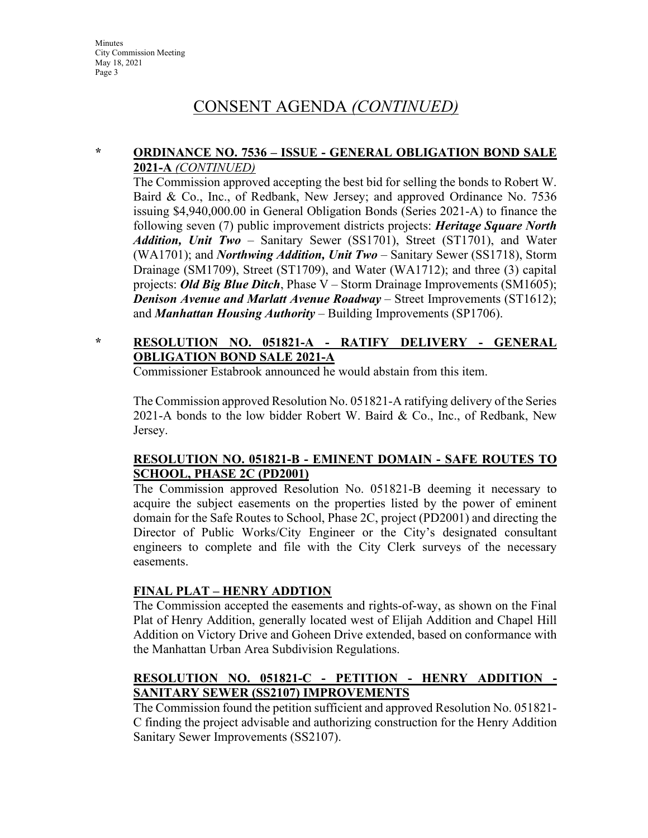#### **\* ORDINANCE NO. 7536 – ISSUE - GENERAL OBLIGATION BOND SALE 2021-A** *(CONTINUED)*

The Commission approved accepting the best bid for selling the bonds to Robert W. Baird & Co., Inc., of Redbank, New Jersey; and approved Ordinance No. 7536 issuing \$4,940,000.00 in General Obligation Bonds (Series 2021-A) to finance the following seven (7) public improvement districts projects: *Heritage Square North Addition, Unit Two* – Sanitary Sewer (SS1701), Street (ST1701), and Water (WA1701); and *Northwing Addition, Unit Two* – Sanitary Sewer (SS1718), Storm Drainage (SM1709), Street (ST1709), and Water (WA1712); and three (3) capital projects: *Old Big Blue Ditch*, Phase V – Storm Drainage Improvements (SM1605); *Denison Avenue and Marlatt Avenue Roadway* – Street Improvements (ST1612); and *Manhattan Housing Authority* – Building Improvements (SP1706).

## **\* RESOLUTION NO. 051821-A - RATIFY DELIVERY - GENERAL OBLIGATION BOND SALE 2021-A**

Commissioner Estabrook announced he would abstain from this item.

The Commission approved Resolution No. 051821-A ratifying delivery of the Series 2021-A bonds to the low bidder Robert W. Baird & Co., Inc., of Redbank, New Jersey.

#### **RESOLUTION NO. 051821-B - EMINENT DOMAIN - SAFE ROUTES TO SCHOOL, PHASE 2C (PD2001)**

The Commission approved Resolution No. 051821-B deeming it necessary to acquire the subject easements on the properties listed by the power of eminent domain for the Safe Routes to School, Phase 2C, project (PD2001) and directing the Director of Public Works/City Engineer or the City's designated consultant engineers to complete and file with the City Clerk surveys of the necessary easements.

## **FINAL PLAT – HENRY ADDTION**

The Commission accepted the easements and rights-of-way, as shown on the Final Plat of Henry Addition, generally located west of Elijah Addition and Chapel Hill Addition on Victory Drive and Goheen Drive extended, based on conformance with the Manhattan Urban Area Subdivision Regulations.

## **RESOLUTION NO. 051821-C - PETITION - HENRY ADDITION - SANITARY SEWER (SS2107) IMPROVEMENTS**

The Commission found the petition sufficient and approved Resolution No. 051821- C finding the project advisable and authorizing construction for the Henry Addition Sanitary Sewer Improvements (SS2107).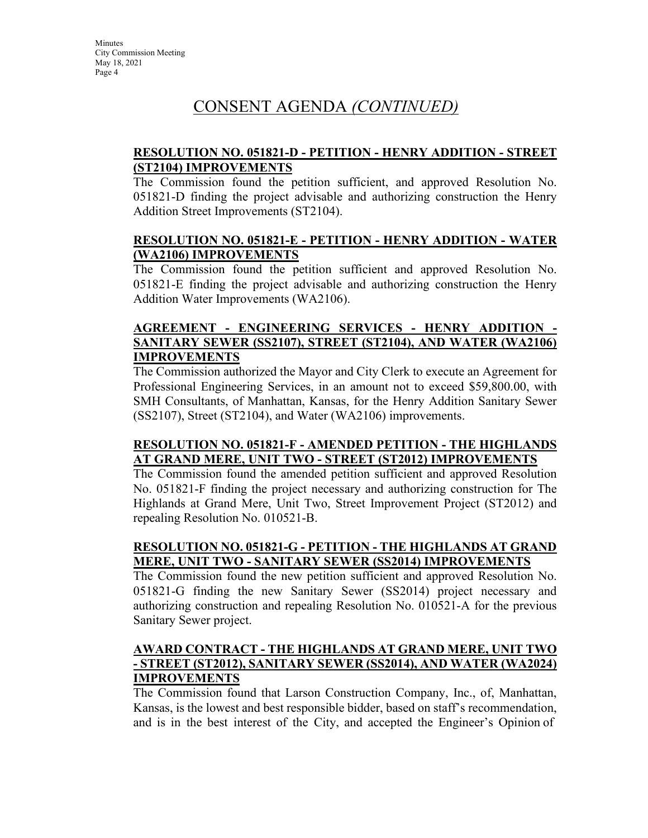#### **RESOLUTION NO. 051821-D - PETITION - HENRY ADDITION - STREET (ST2104) IMPROVEMENTS**

The Commission found the petition sufficient, and approved Resolution No. 051821-D finding the project advisable and authorizing construction the Henry Addition Street Improvements (ST2104).

#### **RESOLUTION NO. 051821-E - PETITION - HENRY ADDITION - WATER (WA2106) IMPROVEMENTS**

The Commission found the petition sufficient and approved Resolution No. 051821-E finding the project advisable and authorizing construction the Henry Addition Water Improvements (WA2106).

#### **AGREEMENT - ENGINEERING SERVICES - HENRY ADDITION - SANITARY SEWER (SS2107), STREET (ST2104), AND WATER (WA2106) IMPROVEMENTS**

The Commission authorized the Mayor and City Clerk to execute an Agreement for Professional Engineering Services, in an amount not to exceed \$59,800.00, with SMH Consultants, of Manhattan, Kansas, for the Henry Addition Sanitary Sewer (SS2107), Street (ST2104), and Water (WA2106) improvements.

#### **RESOLUTION NO. 051821-F - AMENDED PETITION - THE HIGHLANDS AT GRAND MERE, UNIT TWO - STREET (ST2012) IMPROVEMENTS**

The Commission found the amended petition sufficient and approved Resolution No. 051821-F finding the project necessary and authorizing construction for The Highlands at Grand Mere, Unit Two, Street Improvement Project (ST2012) and repealing Resolution No. 010521-B.

## **RESOLUTION NO. 051821-G - PETITION - THE HIGHLANDS AT GRAND MERE, UNIT TWO - SANITARY SEWER (SS2014) IMPROVEMENTS**

The Commission found the new petition sufficient and approved Resolution No. 051821-G finding the new Sanitary Sewer (SS2014) project necessary and authorizing construction and repealing Resolution No. 010521-A for the previous Sanitary Sewer project.

#### **AWARD CONTRACT - THE HIGHLANDS AT GRAND MERE, UNIT TWO - STREET (ST2012), SANITARY SEWER (SS2014), AND WATER (WA2024) IMPROVEMENTS**

The Commission found that Larson Construction Company, Inc., of, Manhattan, Kansas, is the lowest and best responsible bidder, based on staff's recommendation, and is in the best interest of the City, and accepted the Engineer's Opinion of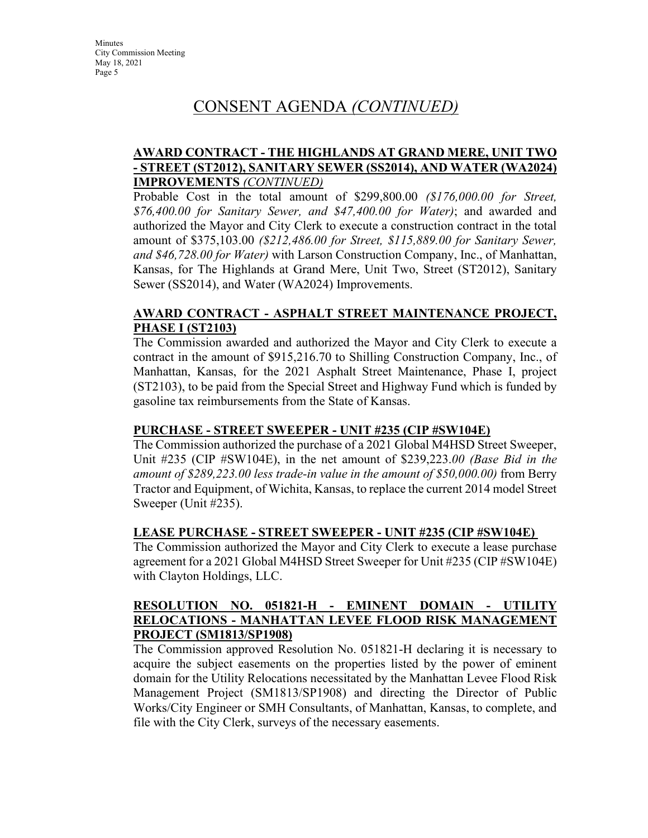#### **AWARD CONTRACT - THE HIGHLANDS AT GRAND MERE, UNIT TWO - STREET (ST2012), SANITARY SEWER (SS2014), AND WATER (WA2024) IMPROVEMENTS** *(CONTINUED)*

Probable Cost in the total amount of \$299,800.00 *(\$176,000.00 for Street, \$76,400.00 for Sanitary Sewer, and \$47,400.00 for Water)*; and awarded and authorized the Mayor and City Clerk to execute a construction contract in the total amount of \$375,103.00 *(\$212,486.00 for Street, \$115,889.00 for Sanitary Sewer, and \$46,728.00 for Water)* with Larson Construction Company, Inc., of Manhattan, Kansas, for The Highlands at Grand Mere, Unit Two, Street (ST2012), Sanitary Sewer (SS2014), and Water (WA2024) Improvements.

#### **AWARD CONTRACT - ASPHALT STREET MAINTENANCE PROJECT, PHASE I (ST2103)**

The Commission awarded and authorized the Mayor and City Clerk to execute a contract in the amount of \$915,216.70 to Shilling Construction Company, Inc., of Manhattan, Kansas, for the 2021 Asphalt Street Maintenance, Phase I, project (ST2103), to be paid from the Special Street and Highway Fund which is funded by gasoline tax reimbursements from the State of Kansas.

#### **PURCHASE - STREET SWEEPER - UNIT #235 (CIP #SW104E)**

The Commission authorized the purchase of a 2021 Global M4HSD Street Sweeper, Unit #235 (CIP #SW104E), in the net amount of \$239,223.*00 (Base Bid in the amount of \$289,223.00 less trade-in value in the amount of \$50,000.00)* from Berry Tractor and Equipment, of Wichita, Kansas, to replace the current 2014 model Street Sweeper (Unit #235).

#### **LEASE PURCHASE - STREET SWEEPER - UNIT #235 (CIP #SW104E)**

The Commission authorized the Mayor and City Clerk to execute a lease purchase agreement for a 2021 Global M4HSD Street Sweeper for Unit #235 (CIP #SW104E) with Clayton Holdings, LLC.

#### **RESOLUTION NO. 051821-H - EMINENT DOMAIN - UTILITY RELOCATIONS - MANHATTAN LEVEE FLOOD RISK MANAGEMENT PROJECT (SM1813/SP1908)**

The Commission approved Resolution No. 051821-H declaring it is necessary to acquire the subject easements on the properties listed by the power of eminent domain for the Utility Relocations necessitated by the Manhattan Levee Flood Risk Management Project (SM1813/SP1908) and directing the Director of Public Works/City Engineer or SMH Consultants, of Manhattan, Kansas, to complete, and file with the City Clerk, surveys of the necessary easements.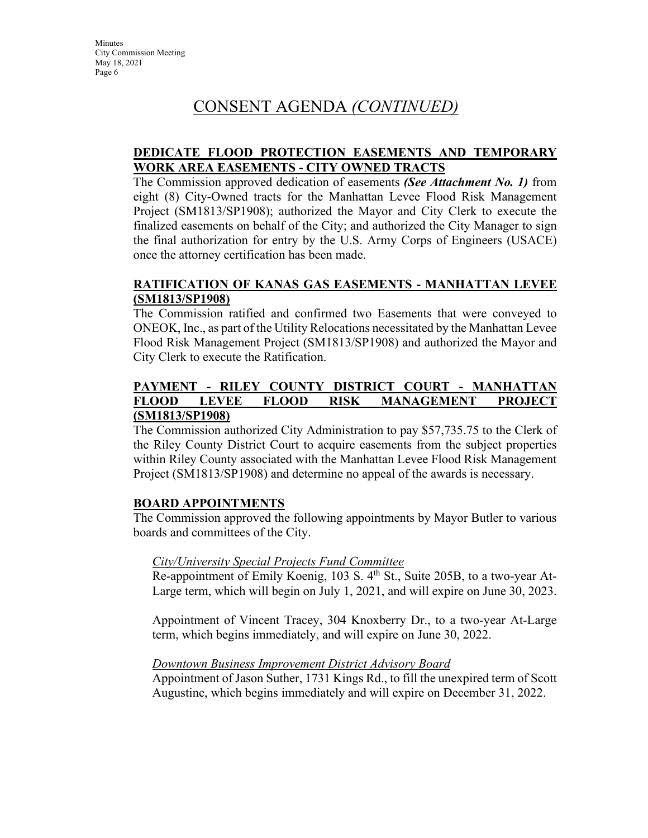#### **DEDICATE FLOOD PROTECTION EASEMENTS AND TEMPORARY WORK AREA EASEMENTS - CITY OWNED TRACTS**

The Commission approved dedication of easements *(See Attachment No. 1)* from eight (8) City-Owned tracts for the Manhattan Levee Flood Risk Management Project (SM1813/SP1908); authorized the Mayor and City Clerk to execute the finalized easements on behalf of the City; and authorized the City Manager to sign the final authorization for entry by the U.S. Army Corps of Engineers (USACE) once the attorney certification has been made.

#### **RATIFICATION OF KANAS GAS EASEMENTS - MANHATTAN LEVEE (SM1813/SP1908)**

The Commission ratified and confirmed two Easements that were conveyed to ONEOK, Inc., as part of the Utility Relocations necessitated by the Manhattan Levee Flood Risk Management Project (SM1813/SP1908) and authorized the Mayor and City Clerk to execute the Ratification.

#### **PAYMENT - RILEY COUNTY DISTRICT COURT - MANHATTAN FLOOD LEVEE FLOOD RISK MANAGEMENT PROJECT (SM1813/SP1908)**

The Commission authorized City Administration to pay \$57,735.75 to the Clerk of the Riley County District Court to acquire easements from the subject properties within Riley County associated with the Manhattan Levee Flood Risk Management Project (SM1813/SP1908) and determine no appeal of the awards is necessary.

#### **BOARD APPOINTMENTS**

The Commission approved the following appointments by Mayor Butler to various boards and committees of the City.

#### *City/University Special Projects Fund Committee*

Re-appointment of Emily Koenig, 103 S.  $4<sup>th</sup>$  St., Suite 205B, to a two-year At-Large term, which will begin on July 1, 2021, and will expire on June 30, 2023.

Appointment of Vincent Tracey, 304 Knoxberry Dr., to a two-year At-Large term, which begins immediately, and will expire on June 30, 2022.

#### *Downtown Business Improvement District Advisory Board*

Appointment of Jason Suther, 1731 Kings Rd., to fill the unexpired term of Scott Augustine, which begins immediately and will expire on December 31, 2022.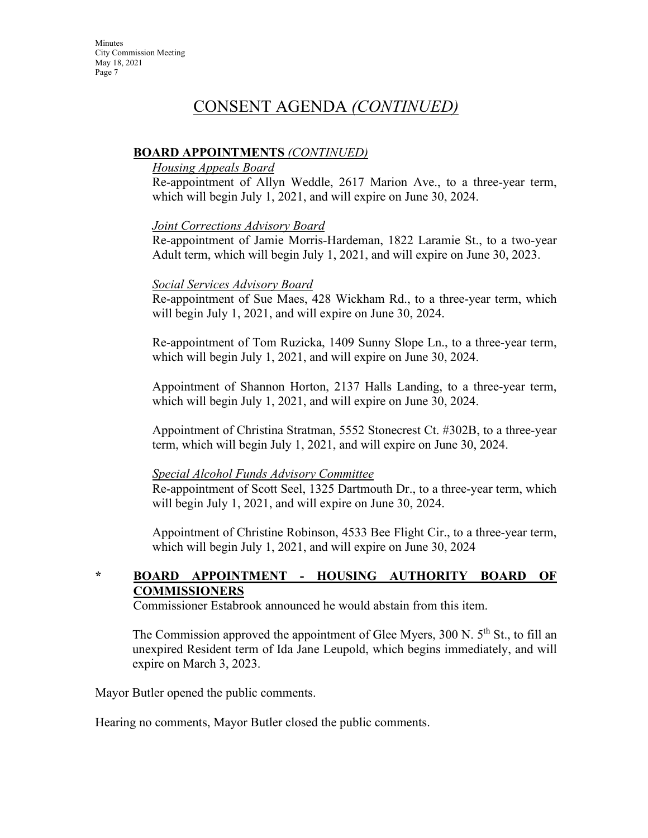#### **BOARD APPOINTMENTS** *(CONTINUED)*

#### *Housing Appeals Board*

Re-appointment of Allyn Weddle, 2617 Marion Ave., to a three-year term, which will begin July 1, 2021, and will expire on June 30, 2024.

#### *Joint Corrections Advisory Board*

Re-appointment of Jamie Morris-Hardeman, 1822 Laramie St., to a two-year Adult term, which will begin July 1, 2021, and will expire on June 30, 2023.

#### *Social Services Advisory Board*

Re-appointment of Sue Maes, 428 Wickham Rd., to a three-year term, which will begin July 1, 2021, and will expire on June 30, 2024.

Re-appointment of Tom Ruzicka, 1409 Sunny Slope Ln., to a three-year term, which will begin July 1, 2021, and will expire on June 30, 2024.

Appointment of Shannon Horton, 2137 Halls Landing, to a three-year term, which will begin July 1, 2021, and will expire on June 30, 2024.

Appointment of Christina Stratman, 5552 Stonecrest Ct. #302B, to a three-year term, which will begin July 1, 2021, and will expire on June 30, 2024.

#### *Special Alcohol Funds Advisory Committee*

Re-appointment of Scott Seel, 1325 Dartmouth Dr., to a three-year term, which will begin July 1, 2021, and will expire on June 30, 2024.

Appointment of Christine Robinson, 4533 Bee Flight Cir., to a three-year term, which will begin July 1, 2021, and will expire on June 30, 2024

## **\* BOARD APPOINTMENT - HOUSING AUTHORITY BOARD OF COMMISSIONERS**

Commissioner Estabrook announced he would abstain from this item.

The Commission approved the appointment of Glee Myers,  $300$  N.  $5<sup>th</sup>$  St., to fill an unexpired Resident term of Ida Jane Leupold, which begins immediately, and will expire on March 3, 2023.

Mayor Butler opened the public comments.

Hearing no comments, Mayor Butler closed the public comments.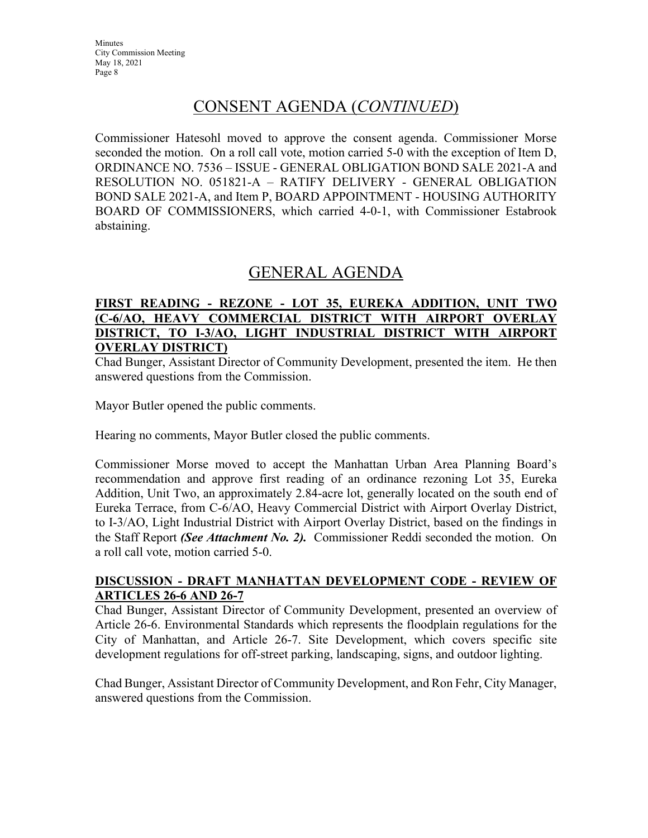# CONSENT AGENDA (*CONTINUED*)

Commissioner Hatesohl moved to approve the consent agenda. Commissioner Morse seconded the motion. On a roll call vote, motion carried 5-0 with the exception of Item D, ORDINANCE NO. 7536 – ISSUE - GENERAL OBLIGATION BOND SALE 2021-A and RESOLUTION NO. 051821-A – RATIFY DELIVERY - GENERAL OBLIGATION BOND SALE 2021-A, and Item P, BOARD APPOINTMENT - HOUSING AUTHORITY BOARD OF COMMISSIONERS, which carried 4-0-1, with Commissioner Estabrook abstaining.

## GENERAL AGENDA

#### **FIRST READING - REZONE - LOT 35, EUREKA ADDITION, UNIT TWO (C-6/AO, HEAVY COMMERCIAL DISTRICT WITH AIRPORT OVERLAY DISTRICT, TO I-3/AO, LIGHT INDUSTRIAL DISTRICT WITH AIRPORT OVERLAY DISTRICT)**

Chad Bunger, Assistant Director of Community Development, presented the item. He then answered questions from the Commission.

Mayor Butler opened the public comments.

Hearing no comments, Mayor Butler closed the public comments.

Commissioner Morse moved to accept the Manhattan Urban Area Planning Board's recommendation and approve first reading of an ordinance rezoning Lot 35, Eureka Addition, Unit Two, an approximately 2.84-acre lot, generally located on the south end of Eureka Terrace, from C-6/AO, Heavy Commercial District with Airport Overlay District, to I-3/AO, Light Industrial District with Airport Overlay District, based on the findings in the Staff Report *(See Attachment No. 2).* Commissioner Reddi seconded the motion. On a roll call vote, motion carried 5-0.

#### **DISCUSSION - DRAFT MANHATTAN DEVELOPMENT CODE - REVIEW OF ARTICLES 26-6 AND 26-7**

Chad Bunger, Assistant Director of Community Development, presented an overview of Article 26-6. Environmental Standards which represents the floodplain regulations for the City of Manhattan, and Article 26-7. Site Development, which covers specific site development regulations for off-street parking, landscaping, signs, and outdoor lighting.

Chad Bunger, Assistant Director of Community Development, and Ron Fehr, City Manager, answered questions from the Commission.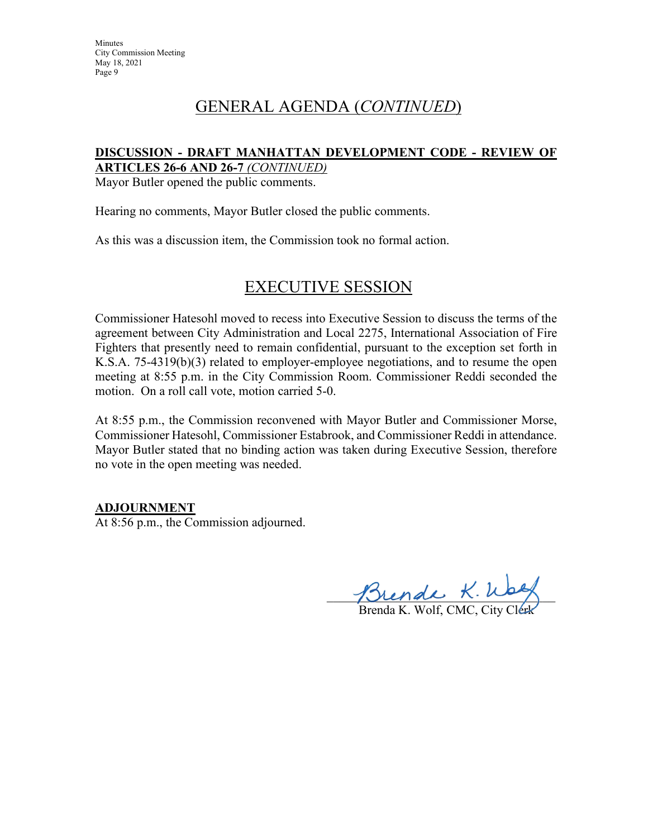# GENERAL AGENDA (*CONTINUED*)

#### **DISCUSSION - DRAFT MANHATTAN DEVELOPMENT CODE - REVIEW OF ARTICLES 26-6 AND 26-7** *(CONTINUED)*

Mayor Butler opened the public comments.

Hearing no comments, Mayor Butler closed the public comments.

As this was a discussion item, the Commission took no formal action.

# EXECUTIVE SESSION

Commissioner Hatesohl moved to recess into Executive Session to discuss the terms of the agreement between City Administration and Local 2275, International Association of Fire Fighters that presently need to remain confidential, pursuant to the exception set forth in K.S.A. 75-4319(b)(3) related to employer-employee negotiations, and to resume the open meeting at 8:55 p.m. in the City Commission Room. Commissioner Reddi seconded the motion. On a roll call vote, motion carried 5-0.

At 8:55 p.m., the Commission reconvened with Mayor Butler and Commissioner Morse, Commissioner Hatesohl, Commissioner Estabrook, and Commissioner Reddi in attendance. Mayor Butler stated that no binding action was taken during Executive Session, therefore no vote in the open meeting was needed.

#### **ADJOURNMENT**

At 8:56 p.m., the Commission adjourned.

Thende R. Way

Brenda K. Wolf, CMC, City Clerk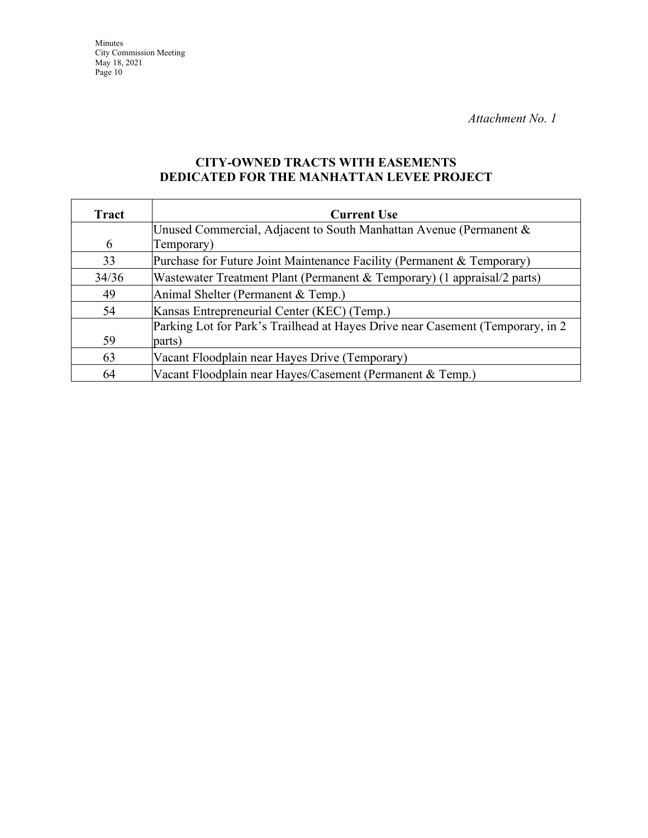## **CITY-OWNED TRACTS WITH EASEMENTS DEDICATED FOR THE MANHATTAN LEVEE PROJECT**

| Tract | <b>Current Use</b>                                                              |
|-------|---------------------------------------------------------------------------------|
|       | Unused Commercial, Adjacent to South Manhattan Avenue (Permanent &              |
| 6     | Temporary)                                                                      |
| 33    | Purchase for Future Joint Maintenance Facility (Permanent & Temporary)          |
| 34/36 | Wastewater Treatment Plant (Permanent & Temporary) (1 appraisal/2 parts)        |
| 49    | Animal Shelter (Permanent & Temp.)                                              |
| 54    | Kansas Entrepreneurial Center (KEC) (Temp.)                                     |
|       | Parking Lot for Park's Trailhead at Hayes Drive near Casement (Temporary, in 2) |
| 59    | parts)                                                                          |
| 63    | Vacant Floodplain near Hayes Drive (Temporary)                                  |
| 64    | Vacant Floodplain near Hayes/Casement (Permanent & Temp.)                       |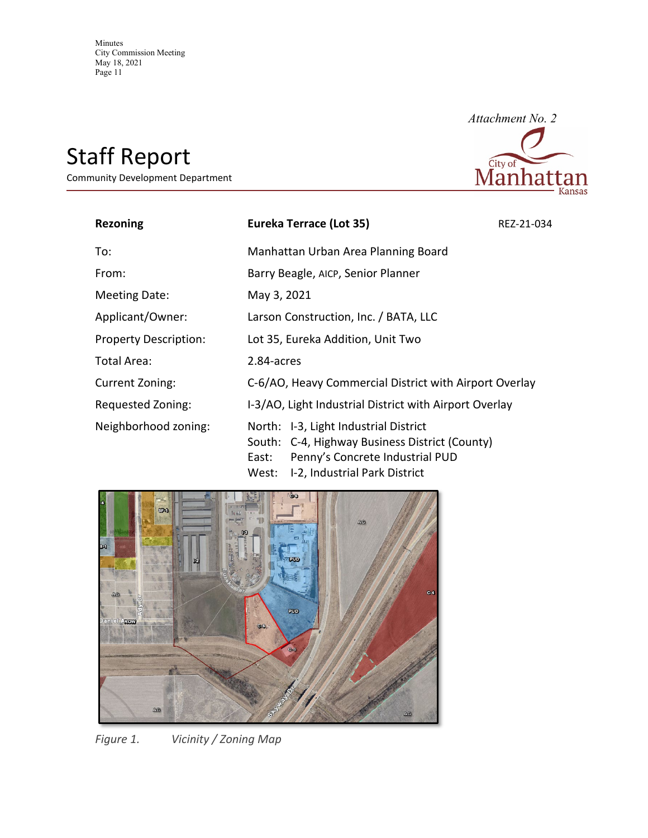# Staff Report

Community Development Department



| <b>Rezoning</b>              | <b>Eureka Terrace (Lot 35)</b>                                                                                                                                                | REZ-21-034 |
|------------------------------|-------------------------------------------------------------------------------------------------------------------------------------------------------------------------------|------------|
| To:                          | Manhattan Urban Area Planning Board                                                                                                                                           |            |
| From:                        | Barry Beagle, AICP, Senior Planner                                                                                                                                            |            |
| Meeting Date:                | May 3, 2021                                                                                                                                                                   |            |
| Applicant/Owner:             | Larson Construction, Inc. / BATA, LLC                                                                                                                                         |            |
| <b>Property Description:</b> | Lot 35, Eureka Addition, Unit Two                                                                                                                                             |            |
| Total Area:                  | 2.84-acres                                                                                                                                                                    |            |
| Current Zoning:              | C-6/AO, Heavy Commercial District with Airport Overlay                                                                                                                        |            |
| Requested Zoning:            | I-3/AO, Light Industrial District with Airport Overlay                                                                                                                        |            |
| Neighborhood zoning:         | North: I-3, Light Industrial District<br>South: C-4, Highway Business District (County)<br>Penny's Concrete Industrial PUD<br>East:<br>I-2, Industrial Park District<br>West: |            |



*Figure 1. Vicinity / Zoning Map*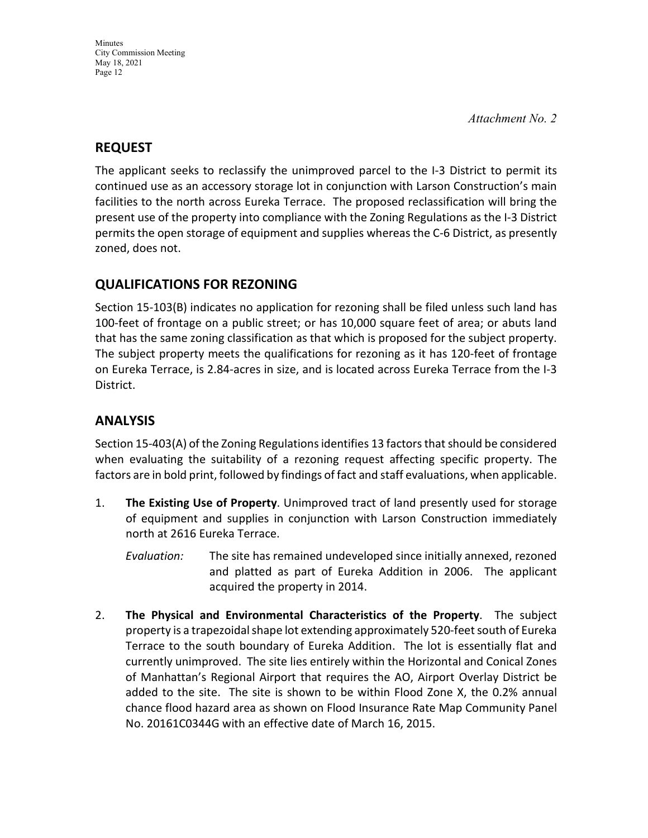## **REQUEST**

The applicant seeks to reclassify the unimproved parcel to the I-3 District to permit its continued use as an accessory storage lot in conjunction with Larson Construction's main facilities to the north across Eureka Terrace. The proposed reclassification will bring the present use of the property into compliance with the Zoning Regulations as the I-3 District permits the open storage of equipment and supplies whereas the C-6 District, as presently zoned, does not.

## **QUALIFICATIONS FOR REZONING**

Section 15-103(B) indicates no application for rezoning shall be filed unless such land has 100-feet of frontage on a public street; or has 10,000 square feet of area; or abuts land that has the same zoning classification as that which is proposed for the subject property. The subject property meets the qualifications for rezoning as it has 120-feet of frontage on Eureka Terrace, is 2.84-acres in size, and is located across Eureka Terrace from the I-3 District.

## **ANALYSIS**

Section 15-403(A) of the Zoning Regulations identifies 13 factors that should be considered when evaluating the suitability of a rezoning request affecting specific property. The factors are in bold print, followed by findings of fact and staff evaluations, when applicable.

- 1. **The Existing Use of Property**. Unimproved tract of land presently used for storage of equipment and supplies in conjunction with Larson Construction immediately north at 2616 Eureka Terrace.
	- *Evaluation:* The site has remained undeveloped since initially annexed, rezoned and platted as part of Eureka Addition in 2006. The applicant acquired the property in 2014.
- 2. **The Physical and Environmental Characteristics of the Property**. The subject property is a trapezoidal shape lot extending approximately 520-feet south of Eureka Terrace to the south boundary of Eureka Addition. The lot is essentially flat and currently unimproved. The site lies entirely within the Horizontal and Conical Zones of Manhattan's Regional Airport that requires the AO, Airport Overlay District be added to the site. The site is shown to be within Flood Zone X, the 0.2% annual chance flood hazard area as shown on Flood Insurance Rate Map Community Panel No. 20161C0344G with an effective date of March 16, 2015.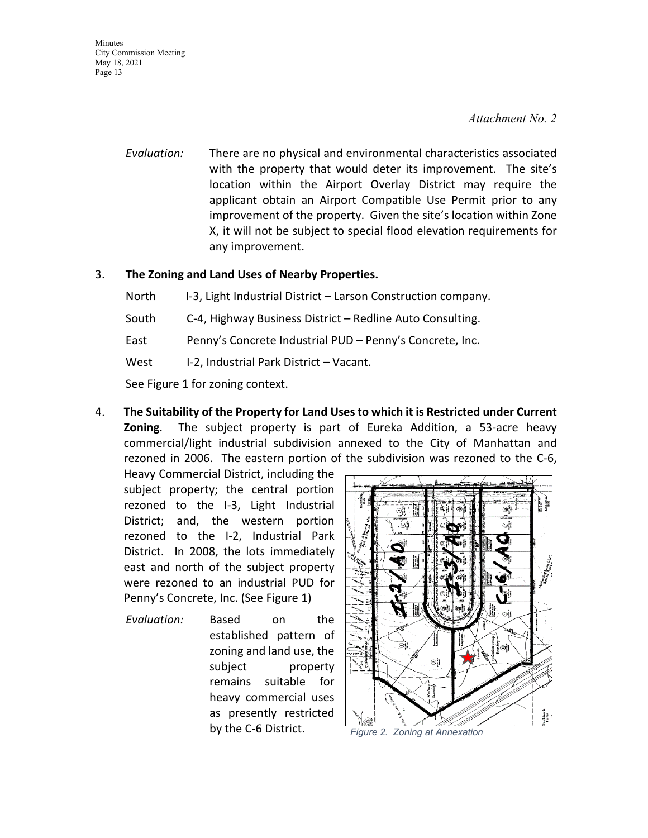#### *Attachment No. 2*

*Evaluation:* There are no physical and environmental characteristics associated with the property that would deter its improvement. The site's location within the Airport Overlay District may require the applicant obtain an Airport Compatible Use Permit prior to any improvement of the property. Given the site's location within Zone X, it will not be subject to special flood elevation requirements for any improvement.

#### 3. **The Zoning and Land Uses of Nearby Properties.**

North I-3, Light Industrial District – Larson Construction company.

- South C-4, Highway Business District Redline Auto Consulting.
- East Penny's Concrete Industrial PUD Penny's Concrete, Inc.
- West I-2, Industrial Park District Vacant.

See Figure 1 for zoning context.

4. **The Suitability of the Property for Land Uses to which it is Restricted under Current Zoning**. The subject property is part of Eureka Addition, a 53-acre heavy commercial/light industrial subdivision annexed to the City of Manhattan and rezoned in 2006. The eastern portion of the subdivision was rezoned to the C-6,

Heavy Commercial District, including the subject property; the central portion rezoned to the I-3, Light Industrial District; and, the western portion rezoned to the I-2, Industrial Park District. In 2008, the lots immediately east and north of the subject property were rezoned to an industrial PUD for Penny's Concrete, Inc. (See Figure 1)

*Evaluation:* Based on the established pattern of zoning and land use, the subject property remains suitable for heavy commercial uses as presently restricted by the C-6 District. *Figure 2. Zoning at Annexation*

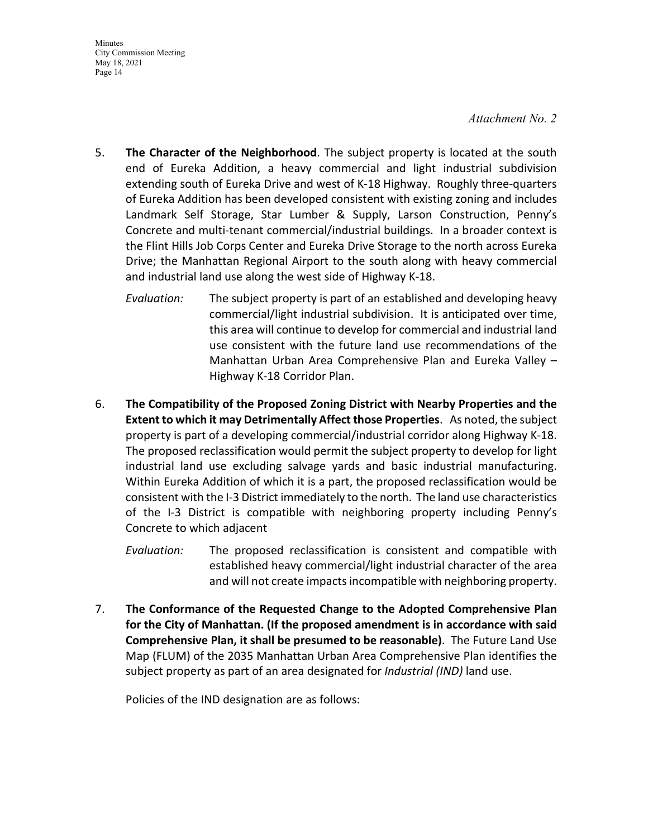#### *Attachment No. 2*

- 5. **The Character of the Neighborhood**. The subject property is located at the south end of Eureka Addition, a heavy commercial and light industrial subdivision extending south of Eureka Drive and west of K-18 Highway. Roughly three-quarters of Eureka Addition has been developed consistent with existing zoning and includes Landmark Self Storage, Star Lumber & Supply, Larson Construction, Penny's Concrete and multi-tenant commercial/industrial buildings. In a broader context is the Flint Hills Job Corps Center and Eureka Drive Storage to the north across Eureka Drive; the Manhattan Regional Airport to the south along with heavy commercial and industrial land use along the west side of Highway K-18.
	- *Evaluation:* The subject property is part of an established and developing heavy commercial/light industrial subdivision. It is anticipated over time, this area will continue to develop for commercial and industrial land use consistent with the future land use recommendations of the Manhattan Urban Area Comprehensive Plan and Eureka Valley – Highway K-18 Corridor Plan.
- 6. **The Compatibility of the Proposed Zoning District with Nearby Properties and the Extent to which it may Detrimentally Affect those Properties**. As noted, the subject property is part of a developing commercial/industrial corridor along Highway K-18. The proposed reclassification would permit the subject property to develop for light industrial land use excluding salvage yards and basic industrial manufacturing. Within Eureka Addition of which it is a part, the proposed reclassification would be consistent with the I-3 District immediately to the north. The land use characteristics of the I-3 District is compatible with neighboring property including Penny's Concrete to which adjacent
	- *Evaluation:* The proposed reclassification is consistent and compatible with established heavy commercial/light industrial character of the area and will not create impacts incompatible with neighboring property.
- 7. **The Conformance of the Requested Change to the Adopted Comprehensive Plan for the City of Manhattan. (If the proposed amendment is in accordance with said Comprehensive Plan, it shall be presumed to be reasonable)**. The Future Land Use Map (FLUM) of the 2035 Manhattan Urban Area Comprehensive Plan identifies the subject property as part of an area designated for *Industrial (IND)* land use.

Policies of the IND designation are as follows: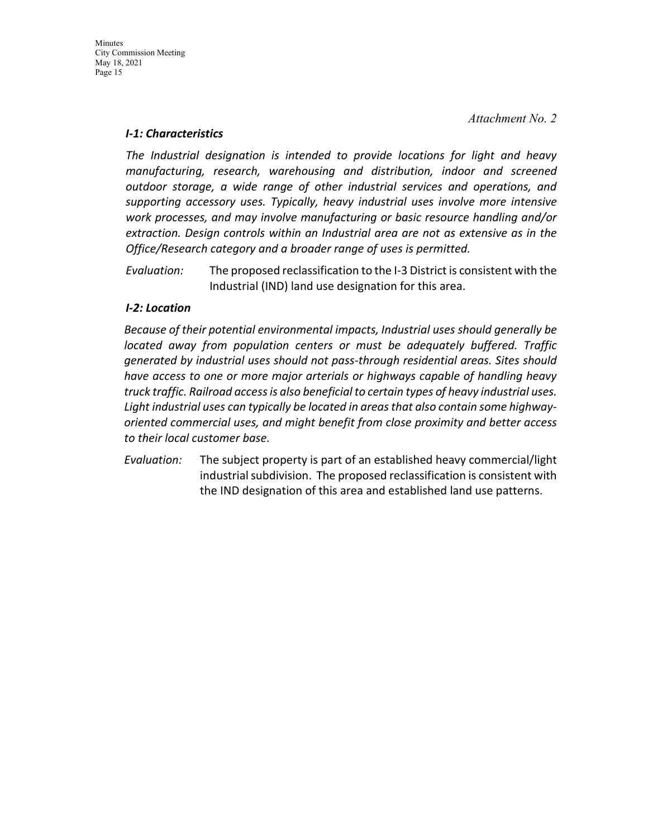#### *I-1: Characteristics*

*The Industrial designation is intended to provide locations for light and heavy manufacturing, research, warehousing and distribution, indoor and screened outdoor storage, a wide range of other industrial services and operations, and supporting accessory uses. Typically, heavy industrial uses involve more intensive work processes, and may involve manufacturing or basic resource handling and/or extraction. Design controls within an Industrial area are not as extensive as in the Office/Research category and a broader range of uses is permitted.*

*Evaluation:* The proposed reclassification to the I-3 District is consistent with the Industrial (IND) land use designation for this area.

#### *I-2: Location*

*Because of their potential environmental impacts, Industrial uses should generally be located away from population centers or must be adequately buffered. Traffic generated by industrial uses should not pass-through residential areas. Sites should have access to one or more major arterials or highways capable of handling heavy truck traffic. Railroad access is also beneficial to certain types of heavy industrial uses. Light industrial uses can typically be located in areas that also contain some highwayoriented commercial uses, and might benefit from close proximity and better access to their local customer base.*

*Evaluation:* The subject property is part of an established heavy commercial/light industrial subdivision. The proposed reclassification is consistent with the IND designation of this area and established land use patterns.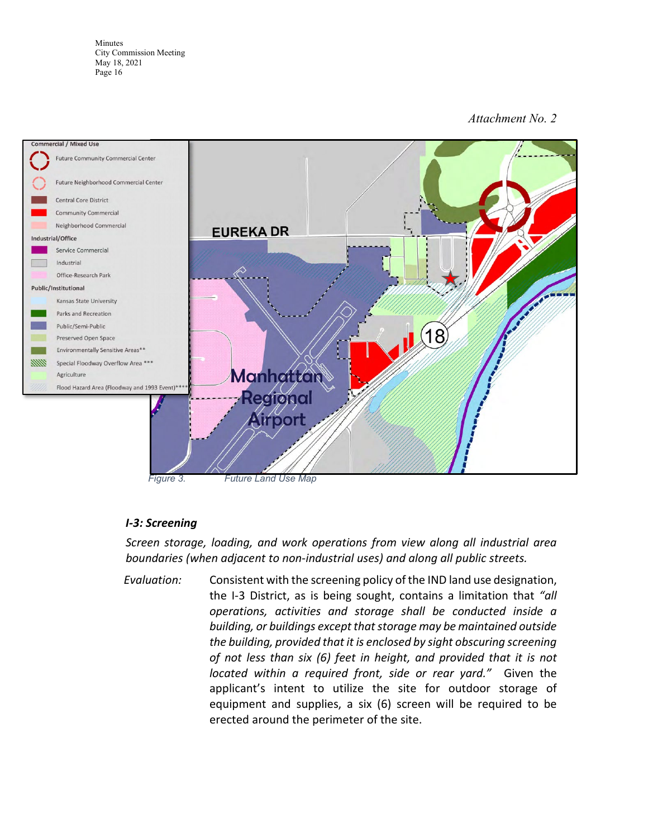#### *Attachment No. 2*



#### *I-3: Screening*

*Screen storage, loading, and work operations from view along all industrial area boundaries (when adjacent to non-industrial uses) and along all public streets.*

*Evaluation:* Consistent with the screening policy of the IND land use designation, the I-3 District, as is being sought, contains a limitation that *"all operations, activities and storage shall be conducted inside a building, or buildings except that storage may be maintained outside the building, provided that it is enclosed by sight obscuring screening of not less than six (6) feet in height, and provided that it is not located within a required front, side or rear yard."* Given the applicant's intent to utilize the site for outdoor storage of equipment and supplies, a six (6) screen will be required to be erected around the perimeter of the site.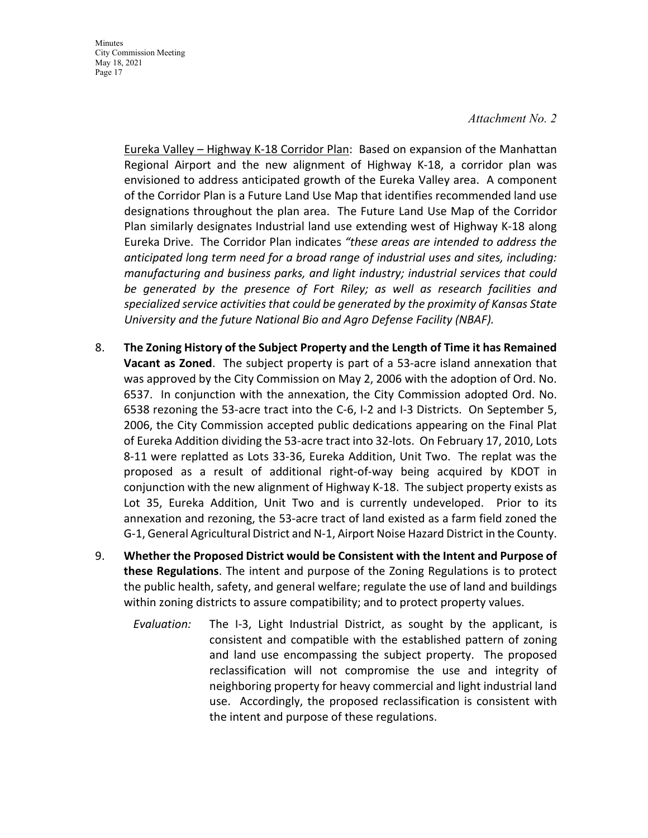Eureka Valley – Highway K-18 Corridor Plan: Based on expansion of the Manhattan Regional Airport and the new alignment of Highway K-18, a corridor plan was envisioned to address anticipated growth of the Eureka Valley area. A component of the Corridor Plan is a Future Land Use Map that identifies recommended land use designations throughout the plan area. The Future Land Use Map of the Corridor Plan similarly designates Industrial land use extending west of Highway K-18 along Eureka Drive. The Corridor Plan indicates *"these areas are intended to address the anticipated long term need for a broad range of industrial uses and sites, including: manufacturing and business parks, and light industry; industrial services that could be generated by the presence of Fort Riley; as well as research facilities and specialized service activities that could be generated by the proximity of Kansas State University and the future National Bio and Agro Defense Facility (NBAF).*

- 8. **The Zoning History of the Subject Property and the Length of Time it has Remained Vacant as Zoned**. The subject property is part of a 53-acre island annexation that was approved by the City Commission on May 2, 2006 with the adoption of Ord. No. 6537. In conjunction with the annexation, the City Commission adopted Ord. No. 6538 rezoning the 53-acre tract into the C-6, I-2 and I-3 Districts. On September 5, 2006, the City Commission accepted public dedications appearing on the Final Plat of Eureka Addition dividing the 53-acre tract into 32-lots. On February 17, 2010, Lots 8-11 were replatted as Lots 33-36, Eureka Addition, Unit Two. The replat was the proposed as a result of additional right-of-way being acquired by KDOT in conjunction with the new alignment of Highway K-18. The subject property exists as Lot 35, Eureka Addition, Unit Two and is currently undeveloped. Prior to its annexation and rezoning, the 53-acre tract of land existed as a farm field zoned the G-1, General Agricultural District and N-1, Airport Noise Hazard District in the County.
- 9. **Whether the Proposed District would be Consistent with the Intent and Purpose of these Regulations**. The intent and purpose of the Zoning Regulations is to protect the public health, safety, and general welfare; regulate the use of land and buildings within zoning districts to assure compatibility; and to protect property values.
	- *Evaluation:* The I-3, Light Industrial District, as sought by the applicant, is consistent and compatible with the established pattern of zoning and land use encompassing the subject property. The proposed reclassification will not compromise the use and integrity of neighboring property for heavy commercial and light industrial land use. Accordingly, the proposed reclassification is consistent with the intent and purpose of these regulations.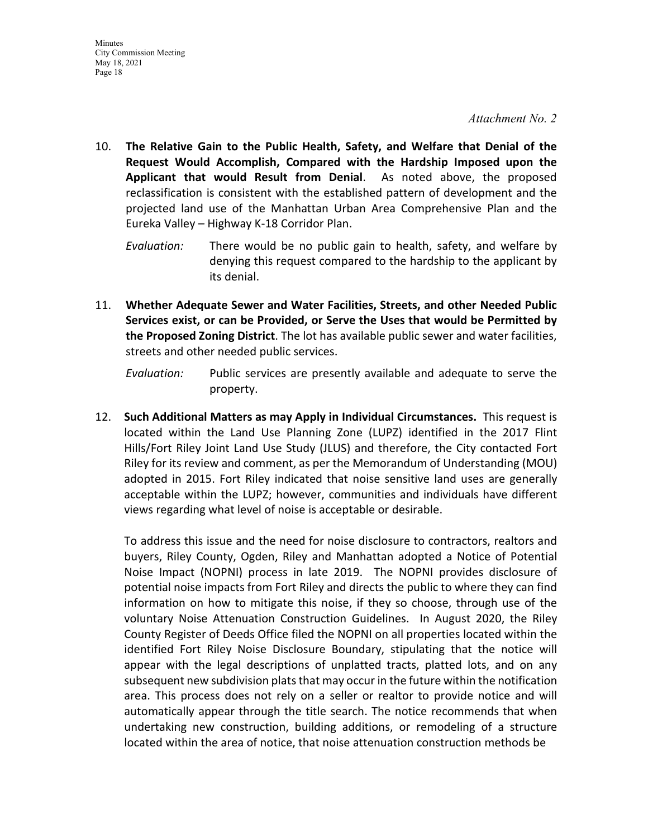- 10. **The Relative Gain to the Public Health, Safety, and Welfare that Denial of the Request Would Accomplish, Compared with the Hardship Imposed upon the Applicant that would Result from Denial**. As noted above, the proposed reclassification is consistent with the established pattern of development and the projected land use of the Manhattan Urban Area Comprehensive Plan and the Eureka Valley – Highway K-18 Corridor Plan.
	- *Evaluation:* There would be no public gain to health, safety, and welfare by denying this request compared to the hardship to the applicant by its denial.
- 11. **Whether Adequate Sewer and Water Facilities, Streets, and other Needed Public Services exist, or can be Provided, or Serve the Uses that would be Permitted by the Proposed Zoning District**. The lot has available public sewer and water facilities, streets and other needed public services.

*Evaluation:* Public services are presently available and adequate to serve the property.

12. **Such Additional Matters as may Apply in Individual Circumstances.** This request is located within the Land Use Planning Zone (LUPZ) identified in the 2017 Flint Hills/Fort Riley Joint Land Use Study (JLUS) and therefore, the City contacted Fort Riley for its review and comment, as per the Memorandum of Understanding (MOU) adopted in 2015. Fort Riley indicated that noise sensitive land uses are generally acceptable within the LUPZ; however, communities and individuals have different views regarding what level of noise is acceptable or desirable.

To address this issue and the need for noise disclosure to contractors, realtors and buyers, Riley County, Ogden, Riley and Manhattan adopted a Notice of Potential Noise Impact (NOPNI) process in late 2019. The NOPNI provides disclosure of potential noise impacts from Fort Riley and directs the public to where they can find information on how to mitigate this noise, if they so choose, through use of the voluntary Noise Attenuation Construction Guidelines. In August 2020, the Riley County Register of Deeds Office filed the NOPNI on all properties located within the identified Fort Riley Noise Disclosure Boundary, stipulating that the notice will appear with the legal descriptions of unplatted tracts, platted lots, and on any subsequent new subdivision plats that may occur in the future within the notification area. This process does not rely on a seller or realtor to provide notice and will automatically appear through the title search. The notice recommends that when undertaking new construction, building additions, or remodeling of a structure located within the area of notice, that noise attenuation construction methods be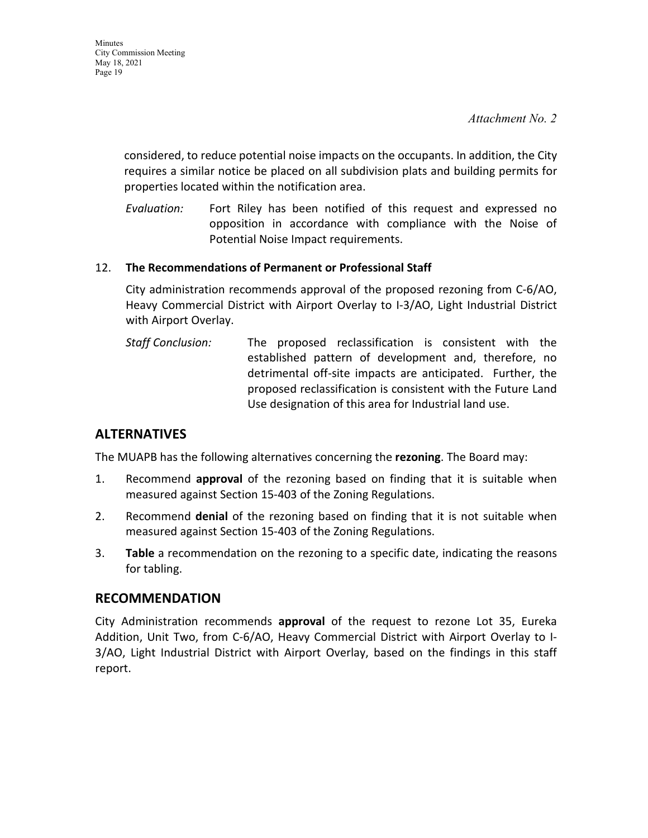considered, to reduce potential noise impacts on the occupants. In addition, the City requires a similar notice be placed on all subdivision plats and building permits for properties located within the notification area.

*Evaluation:* Fort Riley has been notified of this request and expressed no opposition in accordance with compliance with the Noise of Potential Noise Impact requirements.

#### 12. **The Recommendations of Permanent or Professional Staff**

City administration recommends approval of the proposed rezoning from C-6/AO, Heavy Commercial District with Airport Overlay to I-3/AO, Light Industrial District with Airport Overlay.

*Staff Conclusion:* The proposed reclassification is consistent with the established pattern of development and, therefore, no detrimental off-site impacts are anticipated. Further, the proposed reclassification is consistent with the Future Land Use designation of this area for Industrial land use.

## **ALTERNATIVES**

The MUAPB has the following alternatives concerning the **rezoning**. The Board may:

- 1. Recommend **approval** of the rezoning based on finding that it is suitable when measured against Section 15-403 of the Zoning Regulations.
- 2. Recommend **denial** of the rezoning based on finding that it is not suitable when measured against Section 15-403 of the Zoning Regulations.
- 3. **Table** a recommendation on the rezoning to a specific date, indicating the reasons for tabling.

#### **RECOMMENDATION**

City Administration recommends **approval** of the request to rezone Lot 35, Eureka Addition, Unit Two, from C-6/AO, Heavy Commercial District with Airport Overlay to I-3/AO, Light Industrial District with Airport Overlay, based on the findings in this staff report.